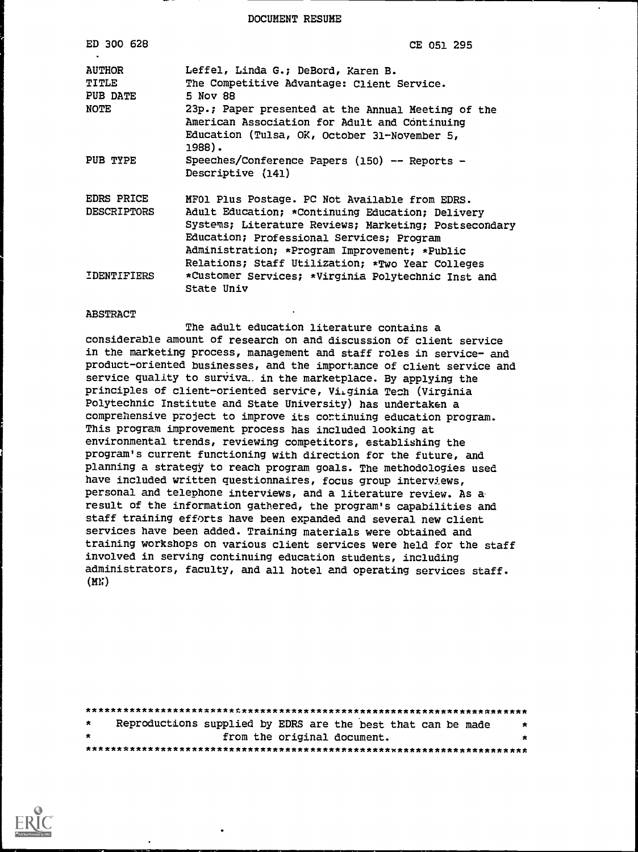DOCUMENT RESUME

| ED 300 628                                 | CE 051 295                                                                                                                                                                                                                                                                                                    |
|--------------------------------------------|---------------------------------------------------------------------------------------------------------------------------------------------------------------------------------------------------------------------------------------------------------------------------------------------------------------|
| <b>AUTHOR</b><br>TITLE<br>PUB DATE<br>NOTE | Leffel, Linda G.; DeBord, Karen B.<br>The Competitive Advantage: Client Service.<br>5 Nov 88<br>23p.; Paper presented at the Annual Meeting of the<br>American Association for Adult and Continuing<br>Education (Tulsa, OK, October 31-November 5,<br>1988).                                                 |
| PUB TYPE                                   | Speeches/Conference Papers (150) -- Reports -<br>Descriptive (141)                                                                                                                                                                                                                                            |
| EDRS PRICE<br><b>DESCRIPTORS</b>           | MF01 Plus Postage. PC Not Available from EDRS.<br>Adult Education; *Continuing Education; Delivery<br>Systems; Literature Reviews; Marketing; Postsecondary<br>Education; Professional Services; Program<br>Administration; *Program Improvement; *Public<br>Relations; Staff Utilization; *Two Year Colleges |
| IDENTIFIERS                                | *Customer Services; *Virginia Polytechnic Inst and<br>State Univ                                                                                                                                                                                                                                              |

#### **ABSTRACT**

The adult education literature contains a considerable amount of research on and discussion of client service in the marketing process, management and staff roles in service- and product-oriented businesses, and the importance of client service and service quality to surviva. in the marketplace. By applying the principles of client-oriented service, Virginia Tech (Virginia Polytechnic Institute and State University) has undertaken a comprehensive project to improve its continuing education program. This program improvement process has included looking at environmental trends, reviewing competitors, establishing the program's current functioning with direction for the future, and planning a strategy to reach program goals. The methodologies used have included written questionnaires, focus group interviews, personal and telephone interviews, and a literature review. As aresult of the information gathered, the program's capabilities and staff training efforts have been expanded and several new client services have been added. Training materials were obtained and training workshops on various client services were held for the staff involved in serving continuing education students, including administrators, faculty, and all hotel and operating services staff. (MN)

| $\star$ |  |  |  | Reproductions supplied by EDRS are the best that can be made | $\star$ |  |  |
|---------|--|--|--|--------------------------------------------------------------|---------|--|--|
| $\star$ |  |  |  | from the original document.                                  | *       |  |  |
|         |  |  |  |                                                              |         |  |  |

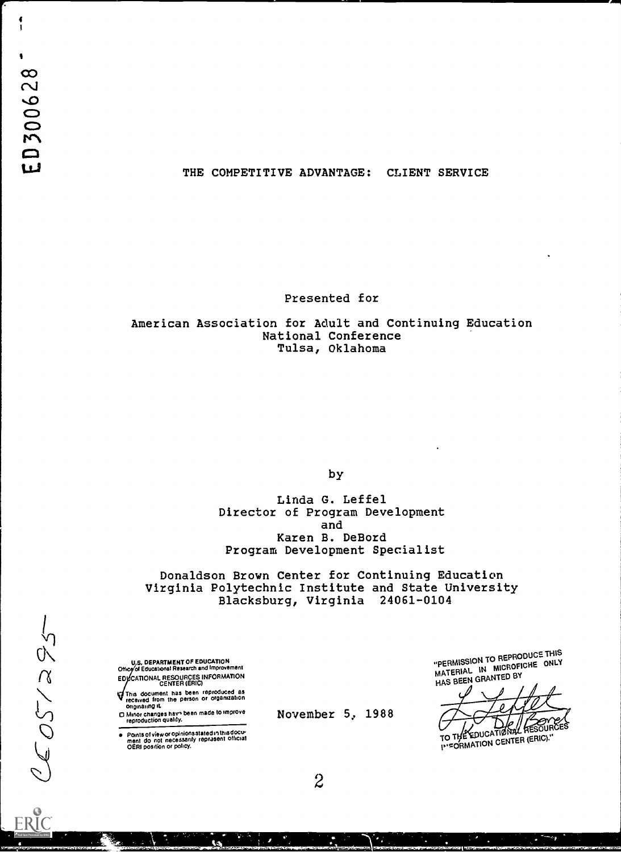$CCOST/295$ 

 $\frac{1}{1}$ 

### THE COMPETITIVE ADVANTAGE: CLIENT SERVICE

Presented for

American Association for Adult and Continuing Education National Conference Tulsa, Oklahoma

by

Linda G. Leffel Director of Program Development and Karen B. DeBord Program Development Specialist

Donaldson Brown Center for Continuing Education Virginia Polytechnic Institute and State University Blacksburg, Virginia 24061-0104

November 5, 1988

U.S. DEPARTMENT OF EDUCATION<br>Office of Educational Research and Improvement EDVCATIONAL RESOURCES INFORMATION<br>CENTER (ERIC)

This document has been reproduced as received from the person or organization originating it.

O Minor changes hay, been made to improve reproduction Quality.

Points of view or opinions stated in this docu-<br>ment ido inot inecessarily reprasent official<br>OERI position or policy.

"PERMISSION TO REPRODUCE THIS MATERIAL IN MICROFICHE ONLY HAS BEEN GRANTED BY

 $\frac{1}{\sqrt{N}}$  /  $\frac{1}{\sqrt{N}}$  ,  $\frac{1}{\sqrt{N}}$  ,  $\frac{1}{\sqrt{N}}$  ,  $\frac{1}{\sqrt{N}}$  ,  $\frac{1}{\sqrt{N}}$  ,  $\frac{1}{\sqrt{N}}$  ,  $\frac{1}{\sqrt{N}}$  ,  $\frac{1}{\sqrt{N}}$  ,  $\frac{1}{\sqrt{N}}$  ,  $\frac{1}{\sqrt{N}}$  ,  $\frac{1}{\sqrt{N}}$  ,  $\frac{1}{\sqrt{N}}$  ,  $\frac{1}{\sqrt{N}}$  ,  $\frac{1}{\sqrt{N}}$ SOURCES

TO THE EUVER INSORMATION CENTER (ERIC)."

 $2\overline{2}$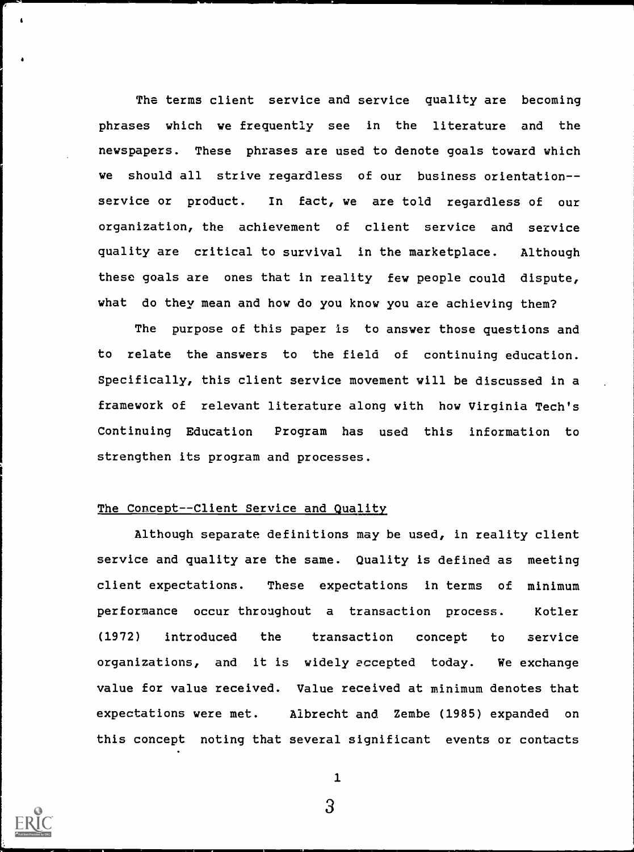The terms client service and service quality are becoming phrases which we frequently see in the literature and the newspapers. These phrases are used to denote goals toward which we should all strive regardless of our business orientationservice or product. In fact, we are told regardless of our organization, the achievement of client service and service quality are critical to survival in the marketplace. Although these goals are ones that in reality few people could dispute, what do they mean and how do you know you are achieving them?

The purpose of this paper is to answer those questions and to relate the answers to the field of continuing education. Specifically, this client service movement will be discussed in a framework of relevant literature along with how Virginia Tech's Continuing Education Program has used this information to strengthen its program and processes.

# The Concept--Client Service and Quality

Although separate definitions may be used, in reality client service and quality are the same. Quality is defined as meeting client expectations. These expectations in terms of minimum performance occur throughout a transaction process. Kotler (1972) introduced the transaction concept to service organizations, and it is widely accepted today. We exchange value for value received. Value received at minimum denotes that expectations were met. Albrecht and Zembe (1985) expanded on this concept noting that several significant events or contacts



1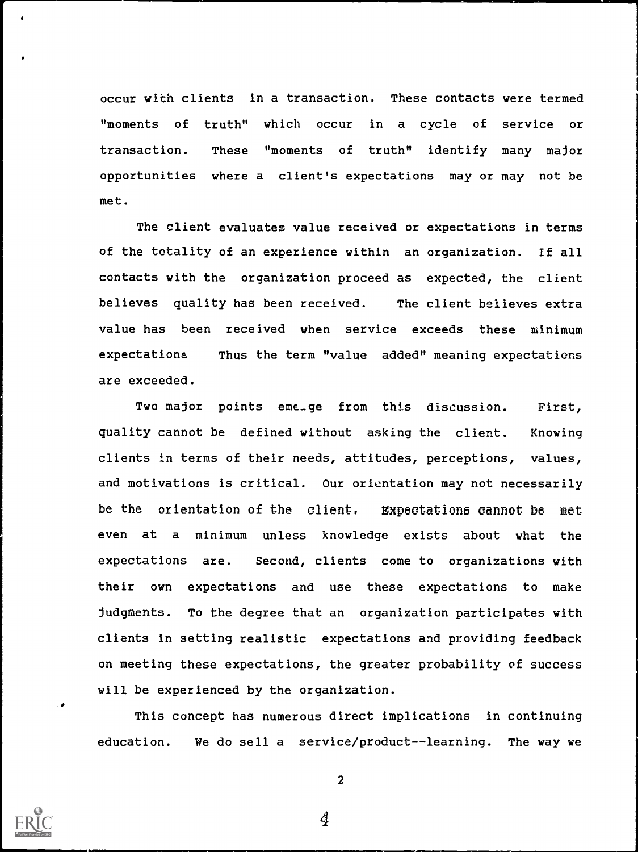occur with clients in a transaction. These contacts were termed " moments of truth" which occur in a cycle of service or transaction. These "moments of truth" identify many major opportunities where a client's expectations may or may not be met.

The client evaluates value received or expectations in terms of the totality of an experience within an organization. If all contacts with the organization proceed as expected, the client believes quality has been received. The client believes extra value has been received when service exceeds these minimum expectations Thus the term "value added" meaning expectations are exceeded.

Two major points eme\_ge from this discussion. First, quality cannot be defined without asking the client. Knowing clients in terms of their needs, attitudes, perceptions, values, and motivations is critical. Our orientation may not necessarily be the orientation of the client. Expectations cannot be met even at a minimum unless knowledge exists about what the expectations are. Second, clients come to organizations with their own expectations and use these expectations to make Judgments. To the degree that an organization participates with clients in setting realistic expectations and providing feedback on meeting these expectations, the greater probability of success will be experienced by the organization.

This concept has numerous direct implications in continuing education. We do sell a service/product--learning. The way we



 $\ddot{\phantom{a}}$ 

2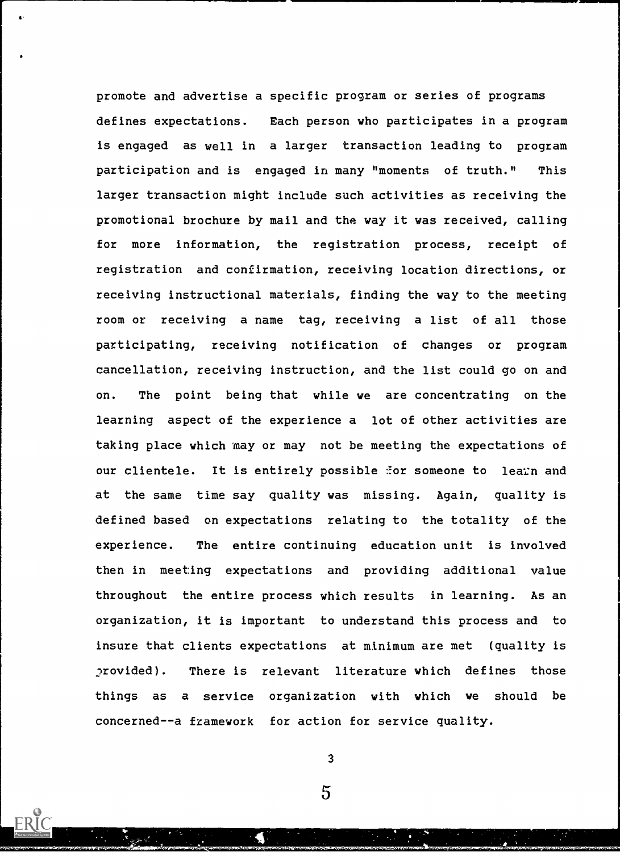promote and advertise a specific program or series of programs defines expectations. Each person who participates in a program is engaged as well in a larger transaction leading to program participation and is engaged in many "moments of truth." This larger transaction might include such activities as receiving the promotional brochure by mail and the way it was received, calling for more information, the registration process, receipt of registration and confirmation, receiving location directions, or receiving instructional materials, finding the way to the meeting room or receiving a name tag, receiving a list of all those participating, receiving notification of changes or program cancellation, receiving instruction, and the list could go on and on. The point being that while we are concentrating on the learning aspect of the experience a lot of other activities are taking place which may or may not be meeting the expectations of our clientele. It is entirely possible for someone to learn and at the same time say quality was missing. Again, quality is defined based on expectations relating to the totality of the experience. The entire continuing education unit is involved then in meeting expectations and providing additional value throughout the entire process which results in learning. As an organization, it is important to understand this process and to insure that clients expectations at minimum are met (quality is 2rovided). There is relevant literature which defines those things as a service organization with which we should be concerned--a framework for action for service quality.

3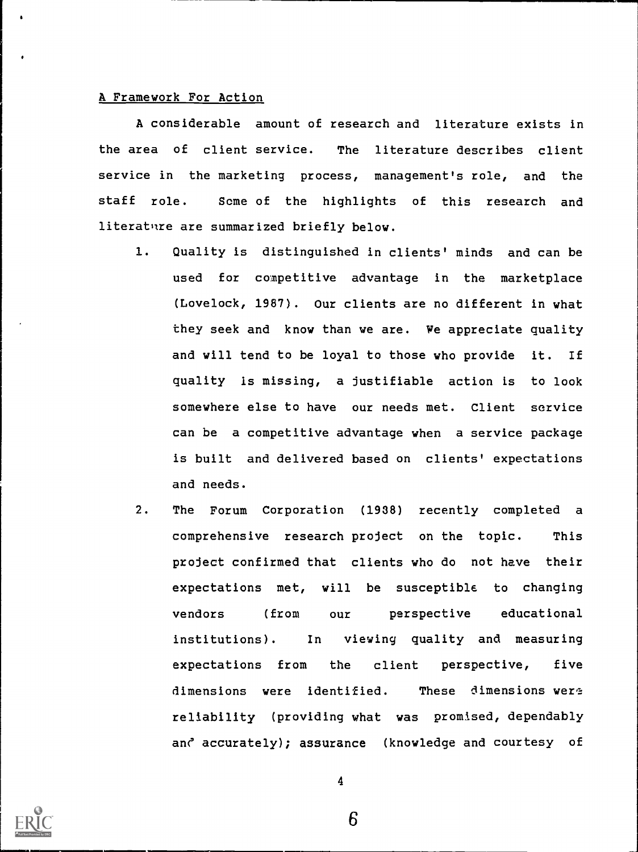## A Framework For Action

A considerable amount of research and literature exists in the area of client service. The literature describes client service in the marketing process, management's role, and the staff role. Some of the highlights of this research and literature are summarized briefly below.

- 1. Quality is distinguished in clients' minds and can be used for competitive advantage in the marketplace (Lovelock, 1987). Our clients are no different in what they seek and know than we are. We appreciate quality and will tend to be loyal to those who provide it. If quality is missing, a justifiable action is to look somewhere else to have our needs met. Client service can be a competitive advantage when a service package is built and delivered based on clients' expectations and needs.
- 2. The Forum Corporation (1938) recently completed a comprehensive research project on the topic. This project confirmed that clients who do not have their expectations met, will be susceptible to changing vendors (from our perspective educational institutions). In viewing quality and measuring expectations from the client perspective, five dimensions were identified. These dimensions were reliability (providing what was promised, dependably and accurately); assurance (knowledge and courtesy of



4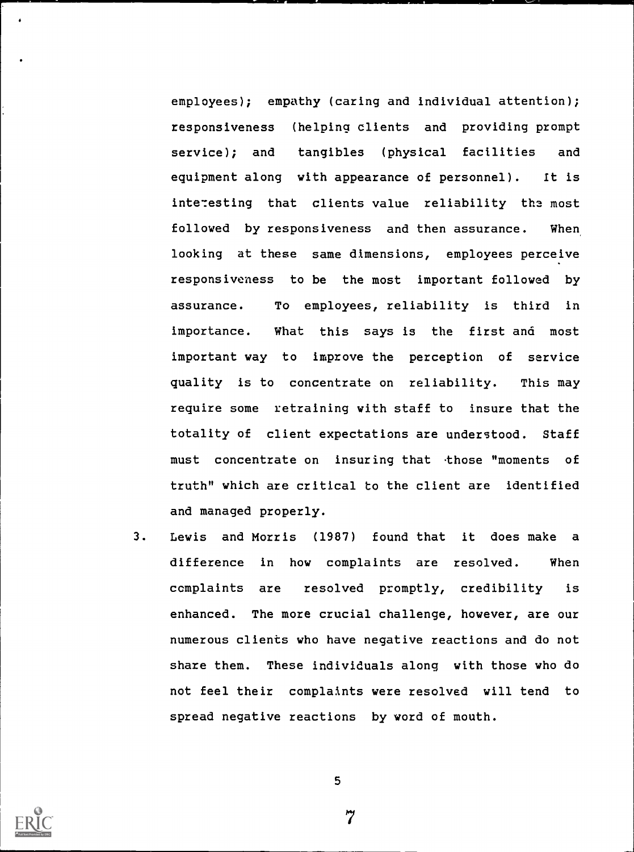employees); empathy (caring and individual attention); responsiveness (helping clients and providing prompt service); and tangibles (physical facilities and equipment along with appearance of personnel). It is interesting that clients value reliability the most followed by responsiveness and then assurance. When looking at these same dimensions, employees perceive responsiveness to be the most important followed by assurance. To employees, reliability is third in importance. What this says is the first and most important way to improve the perception of service quality is to concentrate on reliability. This may require some retraining with staff to insure that the totality of client expectations are understood. Staff must concentrate on insuring that those "moments of truth" which are critical to the client are identified and managed properly.

3. Lewis and Morris (1987) found that it does make a difference in how complaints are resolved. When complaints are resolved promptly, credibility is enhanced. The more crucial challenge, however, are our numerous clients who have negative reactions and do not share them. These individuals along with those who do not feel their complaints were resolved will tend to spread negative reactions by word of mouth.



5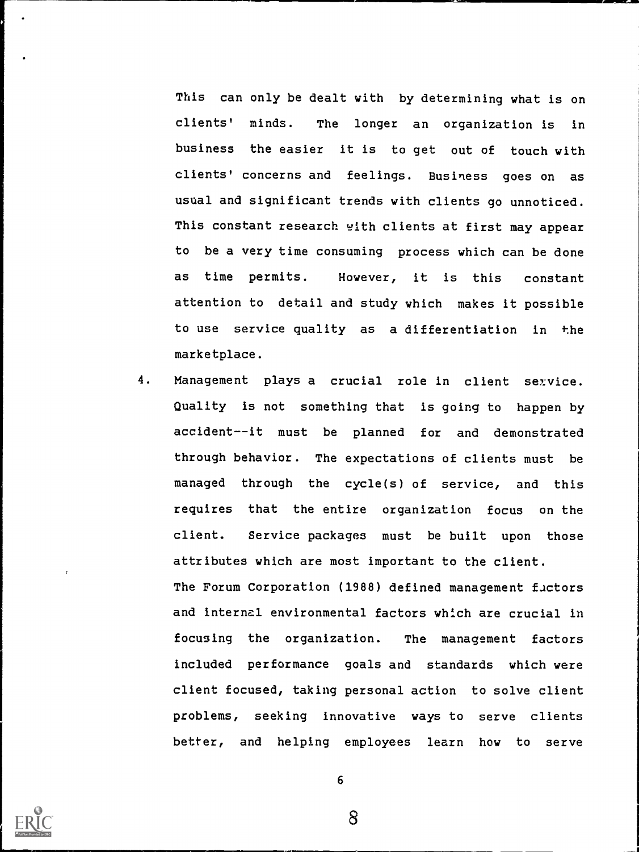This can only be dealt with by determining what is on clients' minds. The longer an organization is in business the easier it is to get out of touch with clients' concerns and feelings. Business goes on as usual and significant trends with clients go unnoticed. This constant research with clients at first may appear to be a very time consuming process which can be done as time permits. However, it is this constant attention to detail and study which makes it possible to use service quality as a differentiation in the marketplace.

4. Management plays a crucial role in client service. Quality is not something that is going to happen by accident--it must be planned for and demonstrated through behavior. The expectations of clients must be managed through the cycle(s) of service, and this requires that the entire organization focus on the client. Service packages must be built upon those attributes which are most important to the client. The Forum Corporation (1988) defined management factors and internal environmental factors which are crucial in focusing the organization. The management factors included performance goals and standards which were client focused, taking personal action to solve client problems, seeking innovative ways to serve clients better, and helping employees learn how to serve



6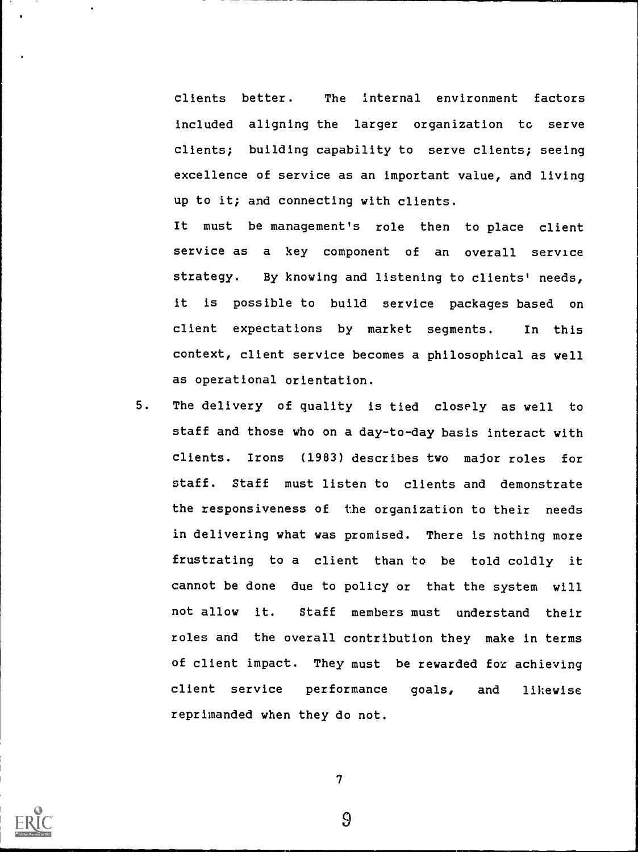clients better. The internal environment factors included aligning the larger organization tc serve clients; building capability to serve clients; seeing excellence of service as an important value, and living up to it; and connecting with clients.

It must be management's role then to place client service as a key component of an overall service strategy. By knowing and listening to clients' needs, it is possible to build service packages based on client expectations by market segments. In this context, client service becomes a philosophical as well as operational orientation.

5. The delivery of quality is tied closely as well to staff and those who on a day-to-day basis interact with clients. Irons (1983) describes two major roles for staff. Staff must listen to clients and demonstrate the responsiveness of the organization to their needs in delivering what was promised. There is nothing more frustrating to a client than to be told coldly it cannot be done due to policy or that the system will not allow it. Staff members must understand their roles and the overall contribution they make in terms of client impact. They must be rewarded for achieving client service performance goals, and likewise reprimanded when they do not.



 $T_{\rm{max}}$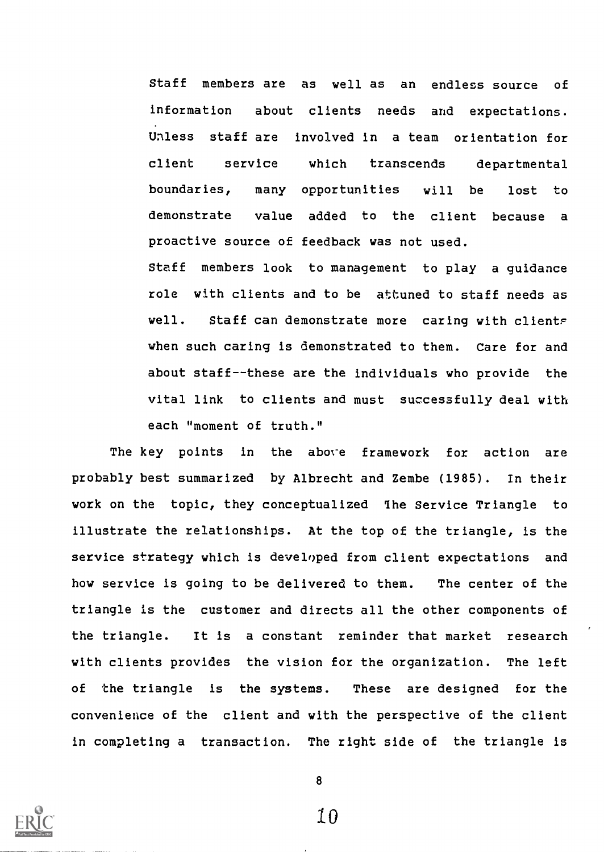Staff members are as well as an endless source of information about clients needs and expectations. Unless staff are involved in a team orientation for client service which transcends departmental boundaries, many opportunities will be lost to demonstrate value added to the client because a proactive source of feedback was not used.

Staff members look to management to play a guidance role with clients and to be attuned to staff needs as well. Staff can demonstrate more caring with clients when such caring is demonstrated to them. Care for and about staff--these are the individuals who provide the vital link to clients and must successfully deal with each "moment of truth."

The key points in the above framework for action are probably best summarized by Albrecht and Zembe (1985). In their work on the topic, they conceptualized The Service Triangle to illustrate the relationships. At the top of the triangle, is the service strategy which is developed from client expectations and how service is going to be delivered to them. The center of the triangle is the customer and directs all the other components of the triangle. It is a constant reminder that market research with clients provides the vision for the organization. The left of the triangle is the systems. These are designed for the convenience of the client and with the perspective of the client in completing a transaction. The right side of the triangle is



8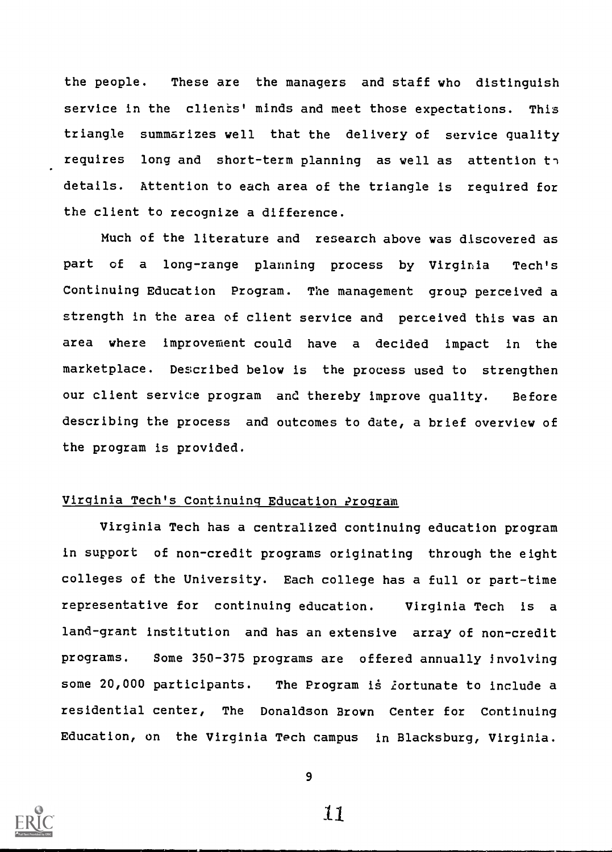the people. These are the managers and staff who distinguish service in the clients' minds and meet those expectations. This triangle summarizes well that the delivery of service quality requires long and short-term planning as well as attention  $t \gamma$ details. Attention to each area of the triangle is required for the client to recognize a difference.

Much of the literature and research above was discovered as part of a long-range planning process by Virginia Tech's Continuing Education Program. The management group perceived a strength in the area of client service and perceived this was an area where improvement could have a decided impact in the marketplace. Described below is the process used to strengthen our client service program and thereby improve quality. Before describing the process and outcomes to date, a brief overview of the program is provided.

## Virginia Tech's Continuing Education ?rogram

Virginia Tech has a centralized continuing education program in support of non-credit programs originating through the eight colleges of the University. Each college has a full or part-time representative for continuing education. Virginia Tech is a land-grant institution and has an extensive array of non-credit programs. Some 350-375 programs are offered annually involving some 20,000 participants. The Program is fortunate to include a residential center, The Donaldson Brown Center for Continuing Education, on the Virginia Tech campus in Blacksburg, Virginia.



9

ii.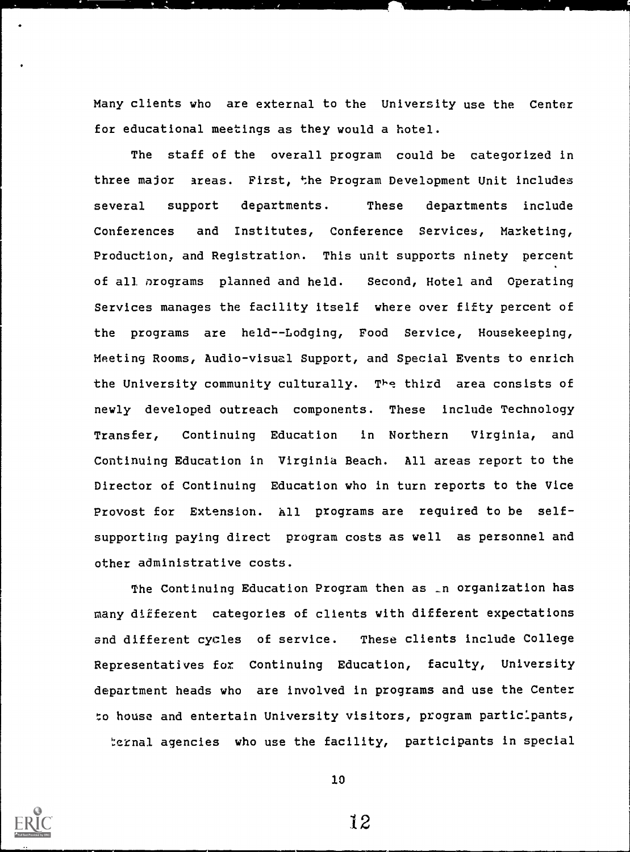Many clients who are external to the University use the Center for educational meetings as they would a hotel.

The staff of the overall program could be categorized in three major areas. First, the Program Development Unit includes several support departments. These departments include Conferences and Institutes, Conference Services, Marketing, Production, and Registration. This unit supports ninety percent of all nrograms planned and held. Second, Hotel and Operating Services manages the facility itself where over fifty percent of the programs are held--Lodging, Food Service, Housekeeping, Meeting Rooms, Audio-visual Support, and Special Events to enrich the University community culturally. The third area consists of newly developed outreach components. These include Technology Transfer, Continuing Education in Northern Virginia, and Continuing Education in Virginia Beach. All areas report to the Director of Continuing Education who in turn reports to the Vice Provost for Extension. All programs are required to be selfsupporting paying direct program costs as well as personnel and other administrative costs.

The Continuing Education Program then as \_n organization has many different categories of clients with different expectations and different cycles of service. These clients include College Representatives for Continuing Education, faculty, University department heads who are involved in programs and use the Center to house and entertain University visitors, program participants, ternal agencies who use the facility, participants in special



10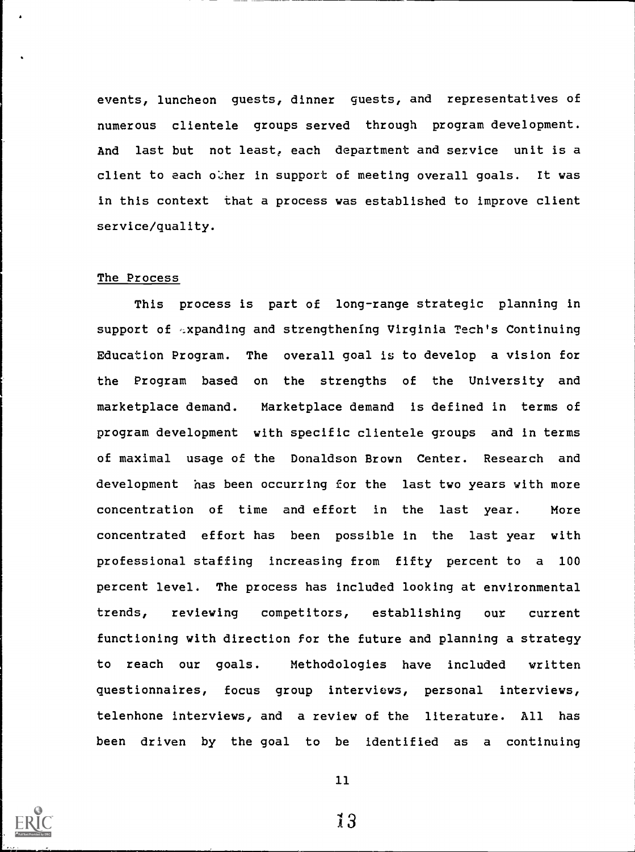events, luncheon guests, dinner guests, and representatives of numerous clientele groups served through program development. And last but not least, each department and service unit is a client to each other in support of meeting overall goals. It was in this context that a process was established to improve client service/quality.

#### The Process

This process is part of long-range strategic planning in support of <sub>sxpanding and strengthening</sub> Virginia Tech's Continuing Education Program. The overall goal is to develop a vision for the Program based on the strengths of the University and marketplace demand. Marketplace demand is defined in terms of program development with specific clientele groups and in terms of maximal usage of the Donaldson Brown Center. Research and development has been occurring for the last two years with more concentration of time and effort in the last year. More concentrated effort has been possible in the last year with professional staffing increasing from fifty percent to a 100 percent level. The process has included looking at environmental trends, reviewing competitors, establishing our current functioning with direction for the future and planning a strategy to reach our goals. Methodologies have included written questionnaires, focus group interviews, personal interviews, telenhone interviews, and a review of the literature. All has been driven by the goal to be identified as a continuing



11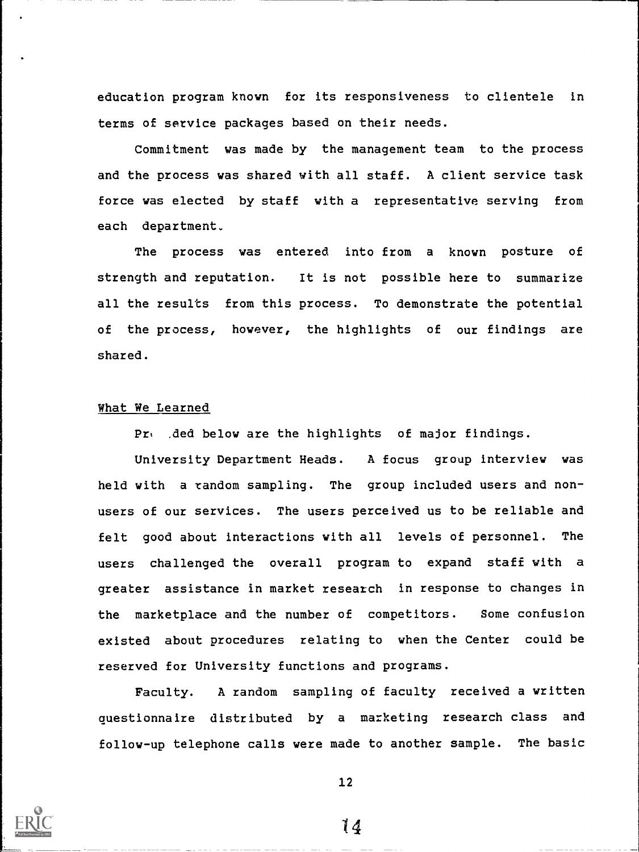education program known for its responsiveness to clientele in terms of service packages based on their needs.

Commitment was made by the management team to the process and the process was shared with all staff. A client service task force was elected by staff with a representative serving from each department.

The process was entered into from a known posture of strength and reputation. It is not possible here to summarize all the results from this process. To demonstrate the potential of the process, however, the highlights of our findings are shared.

# What We Learned

Prw , ded below are the highlights of major findings.

University Department Heads. A focus group interview was held with a random sampling. The group included users and nonusers of our services. The users perceived us to be reliable and felt good about interactions with all levels of personnel. The users challenged the overall program to expand staff with a greater assistance in market research in response to changes in the marketplace and the number of competitors. Some confusion existed about procedures relating to when the Center could be reserved for University functions and programs.

Faculty. A random sampling of faculty received a written questionnaire distributed by a marketing research class and follow-up telephone calls were made to another sample. The basic



12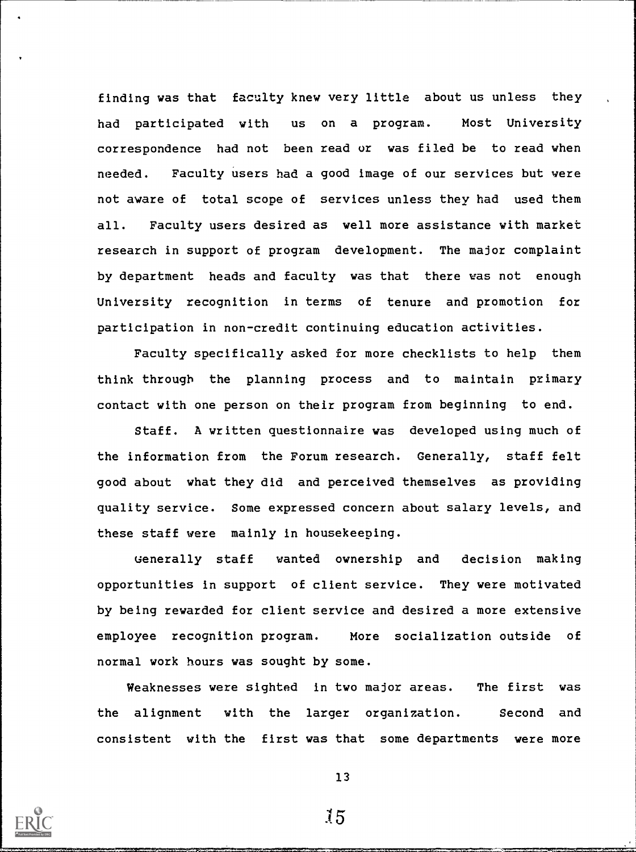finding was that faculty knew very little about us unless they had participated with us on a program. Most University correspondence had not been read or was filed be to read when needed. Faculty users had a good image of our services but were not aware of total scope of services unless they had used them all. Faculty users desired as well more assistance with market research in support of program development. The major complaint by department heads and faculty was that there was not enough University recognition in terms of tenure and promotion for participation in non-credit continuing education activities.

Faculty specifically asked for more checklists to help them think through the planning process and to maintain primary contact with one person on their program from beginning to end.

Staff. A written questionnaire was developed using much of the information from the Forum research. Generally, staff felt good about what they did and perceived themselves as providing quality service. Some expressed concern about salary levels, and these staff were mainly in housekeeping.

uenerally staff wanted ownership and decision making opportunities in support of client service. They were motivated by being rewarded for client service and desired a more extensive employee recognition program. More socialization outside of normal work hours was sought by some.

Weaknesses were sighted in two major areas. The first was the alignment with the larger organization. Second and consistent with the first was that some departments were more



13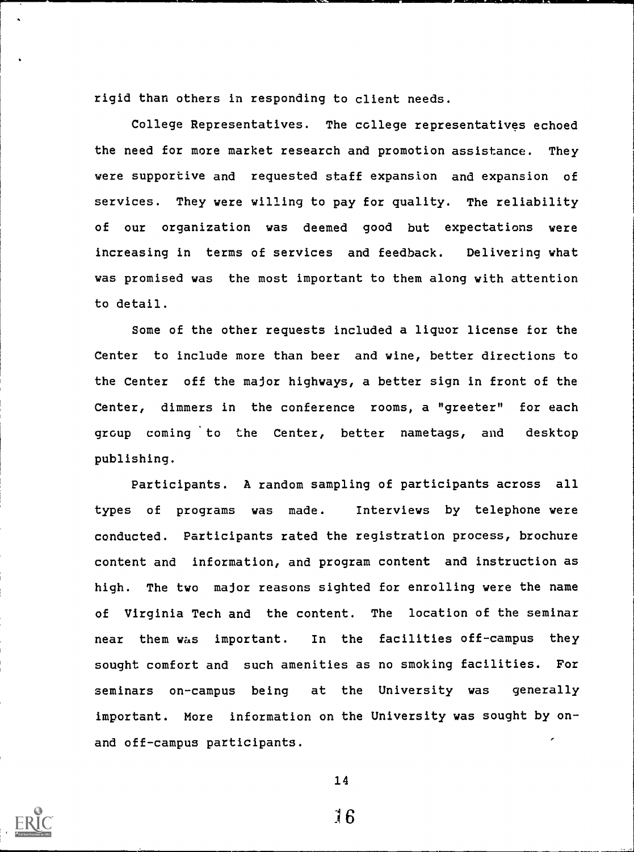rigid than others in responding to client needs.

College Representatives. The college representatives echoed the need for more market research and promotion assistance. They were supportive and requested staff expansion and expansion of services. They were willing to pay for quality. The reliability of our organization was deemed good but expectations were increasing in terms of services and feedback. Delivering what was promised was the most important to them along with attention to detail.

Some of the other requests included a liquor license for the Center to include more than beer and wine, better directions to the Center off the major highways, a better sign in front of the Center, dimmers in the conference rooms, a "greeter" for each group coming to the Center, better nametags, and desktop publishing.

Participants. A random sampling of participants across all types of programs was made. Interviews by telephone were conducted. Participants rated the registration process, brochure content and information, and program content and instruction as high. The two major reasons sighted for enrolling were the name of Virginia Tech and the content. The location of the seminar near them was important. In the facilities off-campus they sought comfort and such amenities as no smoking facilities. For seminars on-campus being at the University was generally important. More information on the University was sought by onand off-campus participants.



14

:16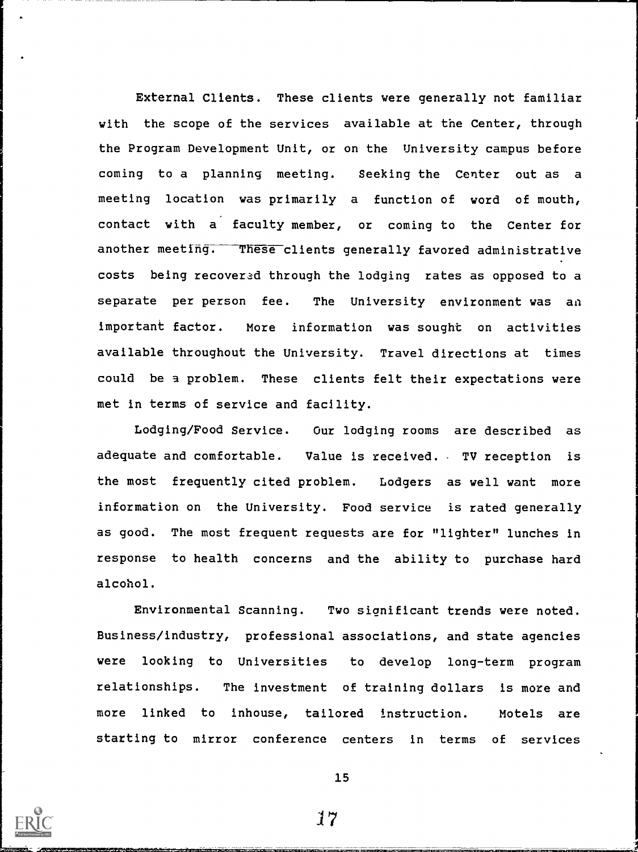External Clients. These clients were generally not familiar with the scope of the services available at the Center, through the Program Development Unit, or on the University campus before coming to a planning meeting. Seeking the Center out as a meeting location was primarily a function of word of mouth, contact with a faculty member, or coming to the Center for another meeting. These clients generally favored administrative costs being recovered through the lodging rates as opposed to a separate per person fee. The University environment was an important factor. More information was sought on activities available throughout the University. Travel directions at times could be a problem. These clients felt their expectations were met in terms of service and facility.

Lodging/Food Service. Our lodging rooms are described as adequate and comfortable. Value is received. TV reception is the most frequently cited problem. Lodgers as well want more information on the University. Food service is rated generally as good. The most frequent requests are for "lighter" lunches in response to health concerns and the ability to purchase hard alcohol.

Environmental Scanning. Two significant trends were noted. Business/industry, professional associations, and state agencies were looking to Universities to develop long-term program relationships. The investment of training dollars is more and more linked to inhouse, tailored instruction. Motels are starting to mirror conference centers in terms of services



17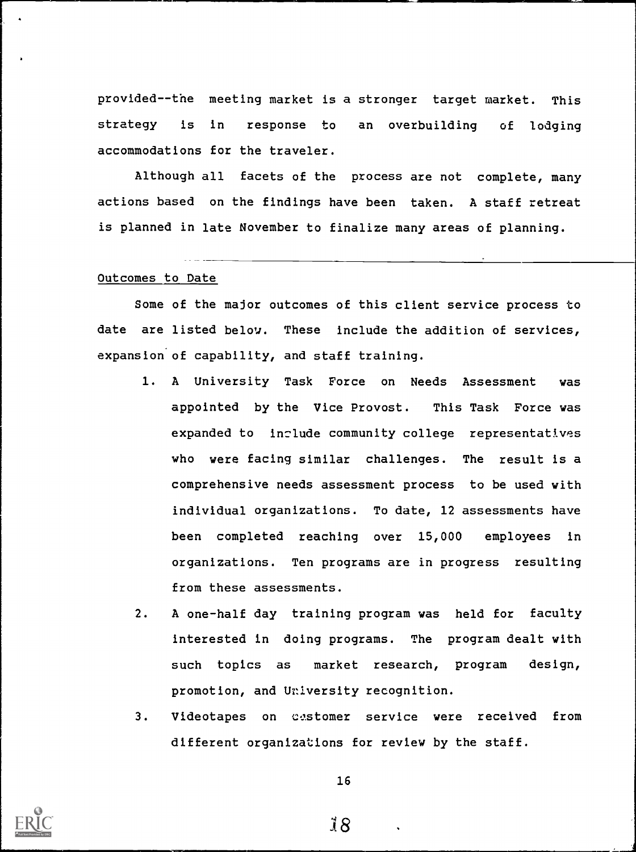provided--the meeting market is a stronger target market. This strategy is in response to an overbuilding of lodging accommodations for the traveler.

Although all facets of the process are not complete, many actions based on the findings have been taken. A staff retreat is planned in late November to finalize many areas of planning.

### Outcomes to Date

Some of the major outcomes of this client service process to date are listed below. These include the addition of services, expansion of capability, and staff training.

- 1. A University Task Force on Needs Assessment was appointed by the Vice Provost. This Task Force was expanded to include community college representatives who were facing similar challenges. The result is a comprehensive needs assessment process to be used with individual organizations. To date, 12 assessments have been completed reaching over 15,000 employees in organizations. Ten programs are in progress resulting from these assessments.
- 2. A one-half day training program was held for faculty interested in doing programs. The program dealt with such topics as market research, program design, promotion, and University recognition.
- 3. Videotapes on castomer service were received from different organizations for review by the staff.



16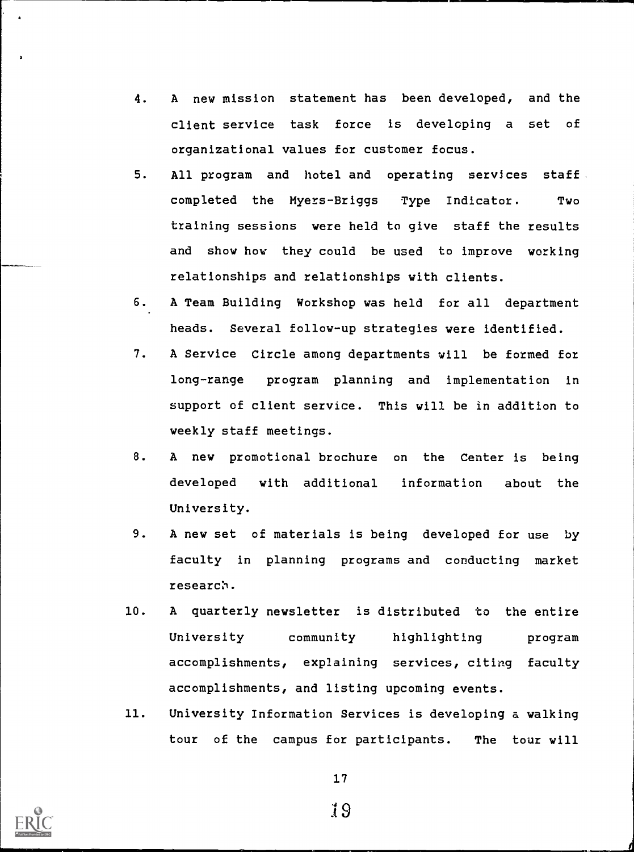- 4. A new mission statement has been developed, and the client service task force is developing a set of organizational values for customer focus.
- 5. All program and hotel and operating services staff completed the Myers-Briggs Type Indicator. Two training sessions were held to give staff the results and show how they could be used to improve working relationships and relationships with clients.
- 6. A Team Building Workshop was held for all department heads. Several follow-up strategies were identified.
- 7. A Service Circle among departments will be formed for long-range program planning and implementation in support of client service. This will be in addition to weekly staff meetings.
- 8. A new promotional brochure on the Center is being developed with additional information about the University.
- 9. A new set of materials is being developed for use by faculty in planning programs and conducting market research,.
- 10. A quarterly newsletter is distributed to the entire University community highlighting program accomplishments, explaining services, citing faculty accomplishments, and listing upcoming events.
- 11. University Information Services is developing a walking tour of the campus for participants. The tour will



17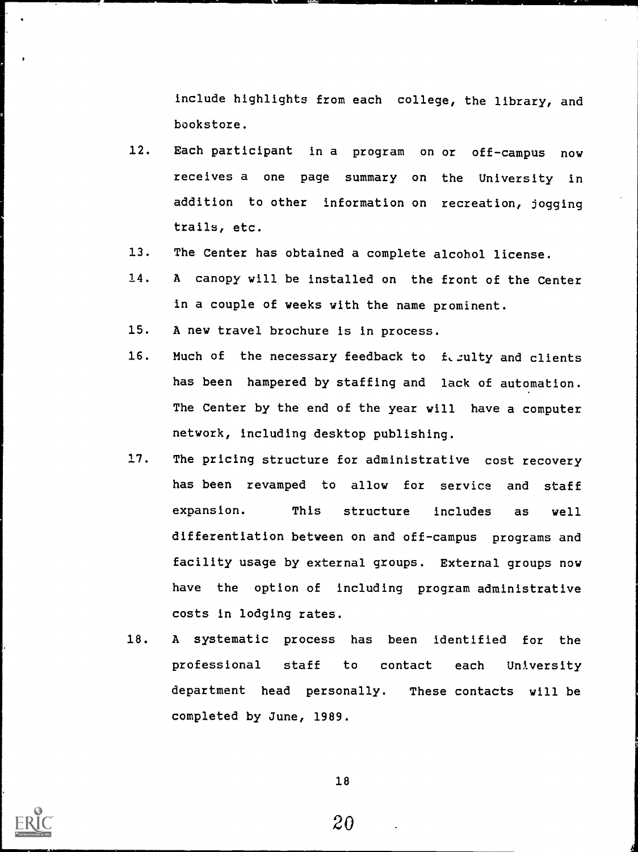Include highlights from each college, the library, and bookstore.

- 12. Each participant in a program on or off-campus now receives a one page summary on the University in addition to other information on recreation, jogging trails, etc.
- 13. The Center has obtained a complete alcohol license.
- 14. A canopy will be installed on the front of the Center in a couple of weeks with the name prominent.
- 15. A new travel brochure is in process.
- 16. Much of the necessary feedback to feellty and clients has been hampered by staffing and lack of automation. The Center by the end of the year will have a computer network, including desktop publishing.
- 17. The pricing structure for administrative cost recovery has been revamped to allow for service and staff expansion. This structure includes as well differentiation between on and off-campus programs and facility usage by external groups. External groups now have the option of including program administrative costs in lodging rates.
- 18. A systematic process has been identified for the professional staff to contact each University department head personally. These contacts will be completed by June, 1989.



18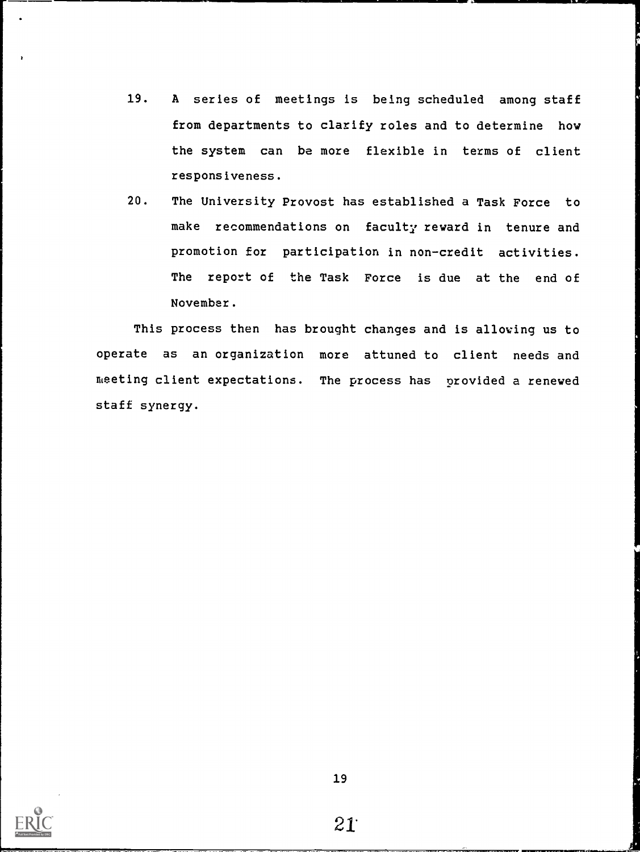- 19. A series of meetings is being scheduled among staff from departments to clarify roles and to determine how the system can be more flexible in terms of client responsiveness.
- 20. The University Provost has established a Task Force to make recommendations on faculty reward in tenure and promotion for participation in non-credit activities. The report of the Task Force is due at the end of November.

This process then has brought changes and is allowing us to operate as an organization more attuned to client needs and meeting client expectations. The process has provided a renewed staff synergy.



 $\overline{a}$ 

19

 $21^{\circ}$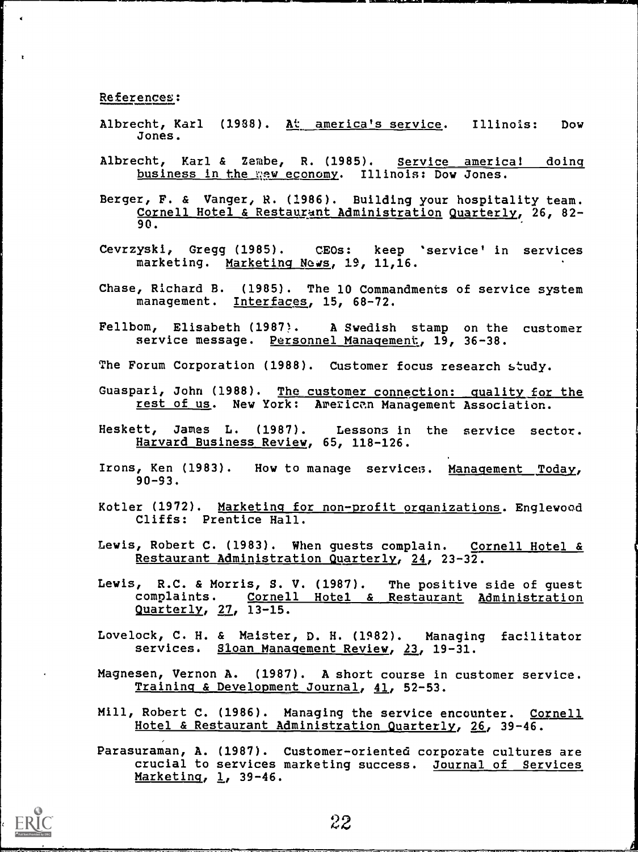References:

- Albrecht, Karl (1988). At america's service. Illinois: Dow Jones.
- Albrecht, Karl & Zembe, R. (1985). Service americal doing business in the new economy. Illinois: Dow Jones.
- Berger, F. & Vanger, R. (1986). Building your hospitality team. Cornell Hotel & Restaurant Administration Quarterly, 26, 82-90.
- Cevrzyski, Gregg (1985). CEOs: keep 'service' in services marketing. Marketing News, 19, 11,16.
- Chase, Richard B. (1985). The 10 Commandments of service system management. Interfaces, 15, 68-72.
- Fellbom, Elisabeth (1987). A Swedish stamp on the customer service message. Personnel Management, 19, 36-38.
- The Forum Corporation (1988). Customer focus research study.
- Guaspari, John (1988). The customer connection: quality for the rest of us. New York: American Management Association.
- Heskett, James L. (1987). Lessons in the service sector. Harvard Business Review, 65, 118-126.
- Irons, Ken (1983). How to manage services. Management Today, 90-93.
- Kotler (1972). Marketing for non-profit organizations. Englewood Cliffs: Prentice Hall.
- Lewis, Robert C. (1983). When guests complain. Cornell Hotel & Restaurant Administration Quarterly, 24, 23-32.
- Lewis, R.C. & Morris, S. V. (1987). The positive side of guest complaints. Cornell Hotel & Restaurant Administration Quarterly, 27, 13-15.
- Lovelock, C. H. & Meister, D. H. (1982). Managing facilitator services. Sloan Management Review, 23, 19-31.
- Magnesen, Vernon A. (1987). A short course in customer service. Training & Development Journal, 41, 52-53.
- Mill, Robert C. (1986). Managing the service encounter. Cornell Hotel & Restaurant Administration Quarterly, 26, 39-46.
- Parasuraman, A. (1987). Customer-oriented corporate cultures are crucial to services marketing success. Journal of Services Marketing, 1, 39-46.